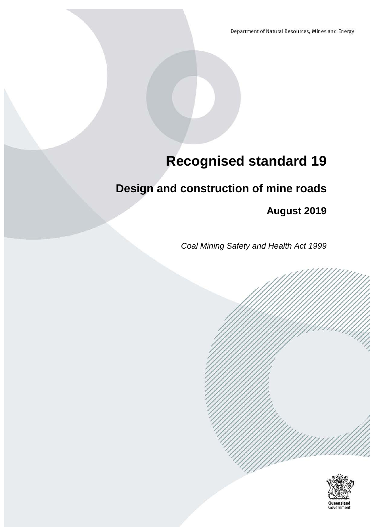Department of Natural Resources, Mines and Energy

# **Recognised standard 19**

# **Design and construction of mine roads**

**August 2019**

*Coal Mining Safety and Health Act 1999*

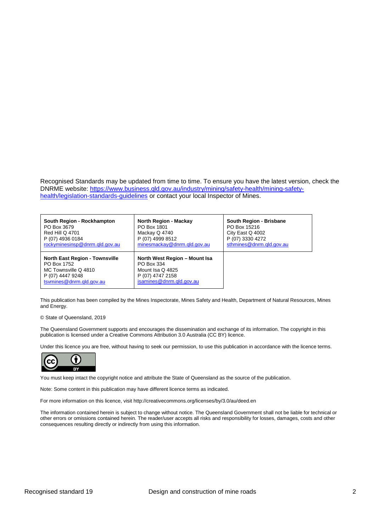Recognised Standards may be updated from time to time. To ensure you have the latest version, check the DNRME website: [https://www.business.qld.gov.au/industry/mining/safety-health/mining-safety](https://www.business.qld.gov.au/industry/mining/safety-health/mining-safety-health/legislation-standards-guidelines)[health/legislation-standards-guidelines](https://www.business.qld.gov.au/industry/mining/safety-health/mining-safety-health/legislation-standards-guidelines) or contact your local Inspector of Mines.

| South Region - Rockhampton                                                                                                   | <b>North Region - Mackay</b>                                                                                    | South Region - Brisbane  |
|------------------------------------------------------------------------------------------------------------------------------|-----------------------------------------------------------------------------------------------------------------|--------------------------|
| PO Box 3679                                                                                                                  | PO Box 1801                                                                                                     | PO Box 15216             |
| <b>Red Hill Q 4701</b>                                                                                                       | Mackay Q 4740                                                                                                   | City East Q 4002         |
| P (07) 4936 0184                                                                                                             | P (07) 4999 8512                                                                                                | P (07) 3330 4272         |
| rockyminesinsp@dnrm.gld.gov.au                                                                                               | minesmackay@dnrm.gld.gov.au                                                                                     | sthmines@dnrm.qld.gov.au |
| <b>North East Region - Townsville</b><br>PO Box 1752<br>MC Townsville Q 4810<br>P (07) 4447 9248<br>tsymines@dnrm.gld.gov.au | North West Region - Mount Isa<br>PO Box 334<br>Mount Isa Q 4825<br>P (07) 4747 2158<br>isamines@dnrm.gld.gov.au |                          |

This publication has been compiled by the Mines Inspectorate, Mines Safety and Health, Department of Natural Resources, Mines and Energy.

#### © State of Queensland, 2019

The Queensland Government supports and encourages the dissemination and exchange of its information. The copyright in this publication is licensed under a Creative Commons Attribution 3.0 Australia (CC BY) licence.

Under this licence you are free, without having to seek our permission, to use this publication in accordance with the licence terms.



You must keep intact the copyright notice and attribute the State of Queensland as the source of the publication.

Note: Some content in this publication may have different licence terms as indicated.

For more information on this licence, visit http://creativecommons.org/licenses/by/3.0/au/deed.en

The information contained herein is subject to change without notice. The Queensland Government shall not be liable for technical or other errors or omissions contained herein. The reader/user accepts all risks and responsibility for losses, damages, costs and other consequences resulting directly or indirectly from using this information.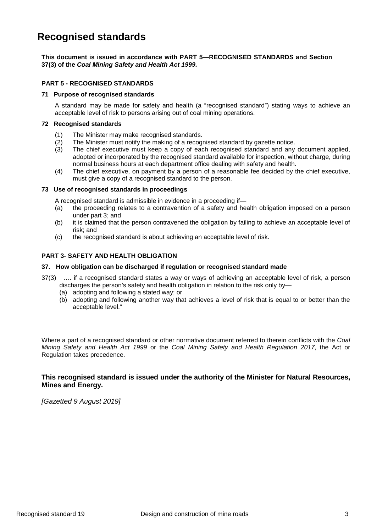## **Recognised standards**

**This document is issued in accordance with PART 5—RECOGNISED STANDARDS and Section 37(3) of the** *Coal Mining Safety and Health Act 1999.*

#### **PART 5 - RECOGNISED STANDARDS**

#### **71 Purpose of recognised standards**

A standard may be made for safety and health (a "recognised standard") stating ways to achieve an acceptable level of risk to persons arising out of coal mining operations.

#### **72 Recognised standards**

- (1) The Minister may make recognised standards.
- (2) The Minister must notify the making of a recognised standard by gazette notice.
- (3) The chief executive must keep a copy of each recognised standard and any document applied, adopted or incorporated by the recognised standard available for inspection, without charge, during normal business hours at each department office dealing with safety and health.
- (4) The chief executive, on payment by a person of a reasonable fee decided by the chief executive, must give a copy of a recognised standard to the person.

#### **73 Use of recognised standards in proceedings**

A recognised standard is admissible in evidence in a proceeding if—

- (a) the proceeding relates to a contravention of a safety and health obligation imposed on a person under part 3; and
- (b) it is claimed that the person contravened the obligation by failing to achieve an acceptable level of risk; and
- (c) the recognised standard is about achieving an acceptable level of risk.

#### **PART 3- SAFETY AND HEALTH OBLIGATION**

#### **37. How obligation can be discharged if regulation or recognised standard made**

- 37(3) …. if a recognised standard states a way or ways of achieving an acceptable level of risk, a person discharges the person's safety and health obligation in relation to the risk only by—
	- (a) adopting and following a stated way; or
	- (b) adopting and following another way that achieves a level of risk that is equal to or better than the acceptable level."

Where a part of a recognised standard or other normative document referred to therein conflicts with the *Coal Mining Safety and Health Act 1999* or the *Coal Mining Safety and Health Regulation 2017*, the Act or Regulation takes precedence.

#### **This recognised standard is issued under the authority of the Minister for Natural Resources, Mines and Energy.**

*[Gazetted 9 August 2019]*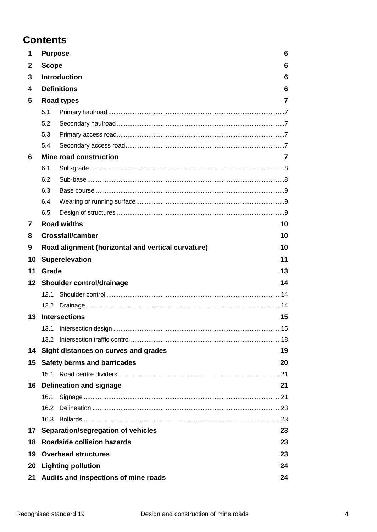## **Contents**

| 1  | 6<br><b>Purpose</b> |                                                    |    |  |  |  |
|----|---------------------|----------------------------------------------------|----|--|--|--|
| 2  | <b>Scope</b>        |                                                    | 6  |  |  |  |
| 3  |                     | <b>Introduction</b>                                | 6  |  |  |  |
| 4  |                     | <b>Definitions</b>                                 | 6  |  |  |  |
| 5  |                     | <b>Road types</b>                                  | 7  |  |  |  |
|    | 5.1                 |                                                    |    |  |  |  |
|    | 5.2                 |                                                    |    |  |  |  |
|    | 5.3                 |                                                    |    |  |  |  |
|    | 5.4                 |                                                    |    |  |  |  |
| 6  |                     | Mine road construction                             | 7  |  |  |  |
|    | 6.1                 |                                                    |    |  |  |  |
|    | 6.2                 |                                                    |    |  |  |  |
|    | 6.3                 |                                                    |    |  |  |  |
|    | 6.4                 |                                                    |    |  |  |  |
|    | 6.5                 |                                                    |    |  |  |  |
| 7  |                     | <b>Road widths</b>                                 | 10 |  |  |  |
| 8  |                     | <b>Crossfall/camber</b>                            | 10 |  |  |  |
| 9  |                     | Road alignment (horizontal and vertical curvature) | 10 |  |  |  |
| 10 |                     | <b>Superelevation</b>                              | 11 |  |  |  |
| 11 | Grade               |                                                    | 13 |  |  |  |
| 12 |                     | Shoulder control/drainage                          | 14 |  |  |  |
|    | 12.1                |                                                    |    |  |  |  |
|    | 12.2                |                                                    |    |  |  |  |
| 13 |                     | <b>Intersections</b>                               | 15 |  |  |  |
|    |                     | 13.1 Intersection design.                          | 15 |  |  |  |
|    |                     |                                                    |    |  |  |  |
| 14 |                     | Sight distances on curves and grades               | 19 |  |  |  |
| 15 |                     | <b>Safety berms and barricades</b>                 | 20 |  |  |  |
|    | 15.1                |                                                    |    |  |  |  |
| 16 |                     | <b>Delineation and signage</b>                     | 21 |  |  |  |
|    | 16.1                |                                                    |    |  |  |  |
|    | 16.2                |                                                    |    |  |  |  |
|    |                     |                                                    |    |  |  |  |
|    |                     |                                                    |    |  |  |  |
| 17 |                     | Separation/segregation of vehicles                 | 23 |  |  |  |
| 18 |                     | <b>Roadside collision hazards</b>                  | 23 |  |  |  |
| 19 |                     | <b>Overhead structures</b>                         | 23 |  |  |  |
| 20 |                     | <b>Lighting pollution</b>                          | 24 |  |  |  |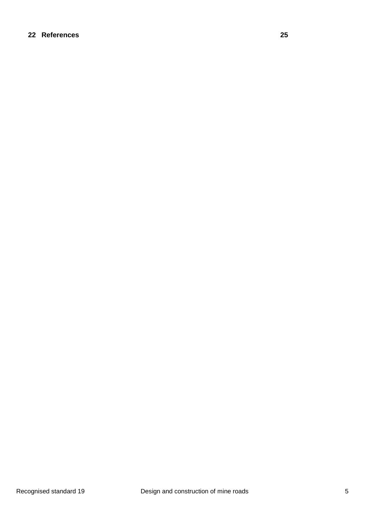#### **22 [References](#page-24-0) 25**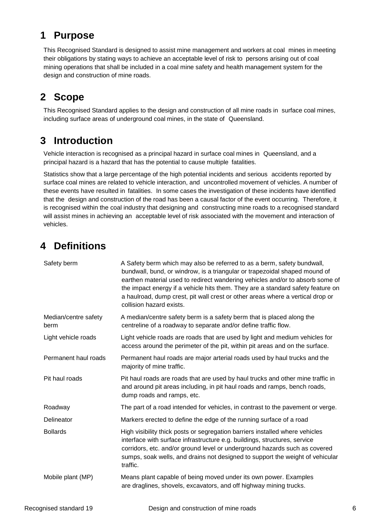## <span id="page-5-0"></span>**1 Purpose**

This Recognised Standard is designed to assist mine management and workers at coal mines in meeting their obligations by stating ways to achieve an acceptable level of risk to persons arising out of coal mining operations that shall be included in a coal mine safety and health management system for the design and construction of mine roads.

## <span id="page-5-1"></span>**2 Scope**

This Recognised Standard applies to the design and construction of all mine roads in surface coal mines, including surface areas of underground coal mines, in the state of Queensland.

## <span id="page-5-2"></span>**3 Introduction**

Vehicle interaction is recognised as a principal hazard in surface coal mines in Queensland, and a principal hazard is a hazard that has the potential to cause multiple fatalities.

Statistics show that a large percentage of the high potential incidents and serious accidents reported by surface coal mines are related to vehicle interaction, and uncontrolled movement of vehicles. A number of these events have resulted in fatalities. In some cases the investigation of these incidents have identified that the design and construction of the road has been a causal factor of the event occurring. Therefore, it is recognised within the coal industry that designing and constructing mine roads to a recognised standard will assist mines in achieving an acceptable level of risk associated with the movement and interaction of vehicles.

## <span id="page-5-3"></span>**4 Definitions**

| Safety berm                  | A Safety berm which may also be referred to as a berm, safety bundwall,<br>bundwall, bund, or windrow, is a triangular or trapezoidal shaped mound of<br>earthen material used to redirect wandering vehicles and/or to absorb some of<br>the impact energy if a vehicle hits them. They are a standard safety feature on<br>a haulroad, dump crest, pit wall crest or other areas where a vertical drop or<br>collision hazard exists. |
|------------------------------|-----------------------------------------------------------------------------------------------------------------------------------------------------------------------------------------------------------------------------------------------------------------------------------------------------------------------------------------------------------------------------------------------------------------------------------------|
| Median/centre safety<br>berm | A median/centre safety berm is a safety berm that is placed along the<br>centreline of a roadway to separate and/or define traffic flow.                                                                                                                                                                                                                                                                                                |
| Light vehicle roads          | Light vehicle roads are roads that are used by light and medium vehicles for<br>access around the perimeter of the pit, within pit areas and on the surface.                                                                                                                                                                                                                                                                            |
| Permanent haul roads         | Permanent haul roads are major arterial roads used by haul trucks and the<br>majority of mine traffic.                                                                                                                                                                                                                                                                                                                                  |
| Pit haul roads               | Pit haul roads are roads that are used by haul trucks and other mine traffic in<br>and around pit areas including, in pit haul roads and ramps, bench roads,<br>dump roads and ramps, etc.                                                                                                                                                                                                                                              |
| Roadway                      | The part of a road intended for vehicles, in contrast to the pavement or verge.                                                                                                                                                                                                                                                                                                                                                         |
| Delineator                   | Markers erected to define the edge of the running surface of a road                                                                                                                                                                                                                                                                                                                                                                     |
| <b>Bollards</b>              | High visibility thick posts or segregation barriers installed where vehicles<br>interface with surface infrastructure e.g. buildings, structures, service<br>corridors, etc. and/or ground level or underground hazards such as covered<br>sumps, soak wells, and drains not designed to support the weight of vehicular<br>traffic.                                                                                                    |
| Mobile plant (MP)            | Means plant capable of being moved under its own power. Examples<br>are draglines, shovels, excavators, and off highway mining trucks.                                                                                                                                                                                                                                                                                                  |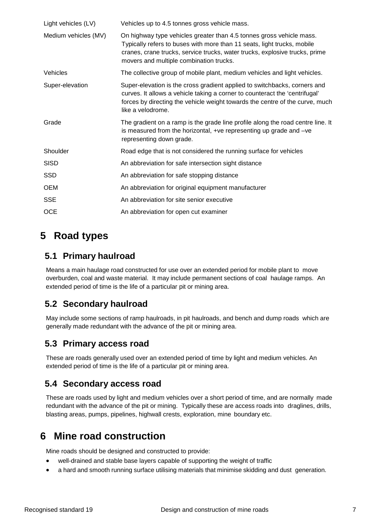| Light vehicles (LV)  | Vehicles up to 4.5 tonnes gross vehicle mass.                                                                                                                                                                                                                             |
|----------------------|---------------------------------------------------------------------------------------------------------------------------------------------------------------------------------------------------------------------------------------------------------------------------|
| Medium vehicles (MV) | On highway type vehicles greater than 4.5 tonnes gross vehicle mass.<br>Typically refers to buses with more than 11 seats, light trucks, mobile<br>cranes, crane trucks, service trucks, water trucks, explosive trucks, prime<br>movers and multiple combination trucks. |
| Vehicles             | The collective group of mobile plant, medium vehicles and light vehicles.                                                                                                                                                                                                 |
| Super-elevation      | Super-elevation is the cross gradient applied to switchbacks, corners and<br>curves. It allows a vehicle taking a corner to counteract the 'centrifugal'<br>forces by directing the vehicle weight towards the centre of the curve, much<br>like a velodrome.             |
| Grade                | The gradient on a ramp is the grade line profile along the road centre line. It<br>is measured from the horizontal, +ve representing up grade and -ve<br>representing down grade.                                                                                         |
| Shoulder             | Road edge that is not considered the running surface for vehicles                                                                                                                                                                                                         |
| <b>SISD</b>          | An abbreviation for safe intersection sight distance                                                                                                                                                                                                                      |
| <b>SSD</b>           | An abbreviation for safe stopping distance                                                                                                                                                                                                                                |
| <b>OEM</b>           | An abbreviation for original equipment manufacturer                                                                                                                                                                                                                       |
| <b>SSE</b>           | An abbreviation for site senior executive                                                                                                                                                                                                                                 |
| <b>OCE</b>           | An abbreviation for open cut examiner                                                                                                                                                                                                                                     |

## <span id="page-6-0"></span>**5 Road types**

#### <span id="page-6-1"></span>**5.1 Primary haulroad**

Means a main haulage road constructed for use over an extended period for mobile plant to move overburden, coal and waste material. It may include permanent sections of coal haulage ramps. An extended period of time is the life of a particular pit or mining area.

## <span id="page-6-2"></span>**5.2 Secondary haulroad**

May include some sections of ramp haulroads, in pit haulroads, and bench and dump roads which are generally made redundant with the advance of the pit or mining area.

### <span id="page-6-3"></span>**5.3 Primary access road**

These are roads generally used over an extended period of time by light and medium vehicles. An extended period of time is the life of a particular pit or mining area.

#### <span id="page-6-4"></span>**5.4 Secondary access road**

These are roads used by light and medium vehicles over a short period of time, and are normally made redundant with the advance of the pit or mining. Typically these are access roads into draglines, drills, blasting areas, pumps, pipelines, highwall crests, exploration, mine boundary etc.

## <span id="page-6-5"></span>**6 Mine road construction**

Mine roads should be designed and constructed to provide:

- well-drained and stable base layers capable of supporting the weight of traffic
- a hard and smooth running surface utilising materials that minimise skidding and dust generation.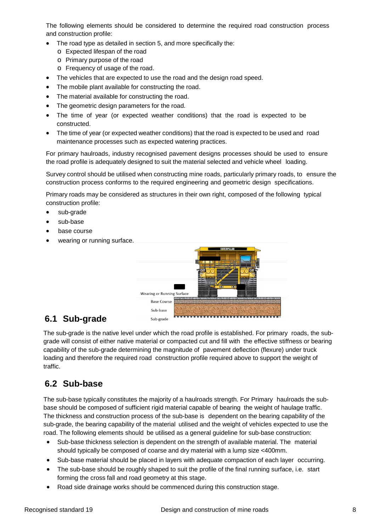The following elements should be considered to determine the required road construction process and construction profile:

- The road type as detailed in section 5, and more specifically the:
	- o Expected lifespan of the road
	- o Primary purpose of the road
	- o Frequency of usage of the road.
- The vehicles that are expected to use the road and the design road speed.
- The mobile plant available for constructing the road.
- The material available for constructing the road.
- The geometric design parameters for the road.
- The time of year (or expected weather conditions) that the road is expected to be constructed.
- The time of year (or expected weather conditions) that the road is expected to be used and road maintenance processes such as expected watering practices.

For primary haulroads, industry recognised pavement designs processes should be used to ensure the road profile is adequately designed to suit the material selected and vehicle wheel loading.

Survey control should be utilised when constructing mine roads, particularly primary roads, to ensure the construction process conforms to the required engineering and geometric design specifications.

Primary roads may be considered as structures in their own right, composed of the following typical construction profile:

- sub-grade
- sub-base
- base course
- wearing or running surface.



#### <span id="page-7-0"></span>**6.1 Sub-grade**

The sub-grade is the native level under which the road profile is established. For primary roads, the subgrade will consist of either native material or compacted cut and fill with the effective stiffness or bearing capability of the sub-grade determining the magnitude of pavement deflection (flexure) under truck loading and therefore the required road construction profile required above to support the weight of traffic.

#### <span id="page-7-1"></span>**6.2 Sub-base**

The sub-base typically constitutes the majority of a haulroads strength. For Primary haulroads the subbase should be composed of sufficient rigid material capable of bearing the weight of haulage traffic. The thickness and construction process of the sub-base is dependent on the bearing capability of the sub-grade, the bearing capability of the material utilised and the weight of vehicles expected to use the road. The following elements should be utilised as a general guideline for sub-base construction:

- Sub-base thickness selection is dependent on the strength of available material. The material should typically be composed of coarse and dry material with a lump size <400mm.
- Sub-base material should be placed in layers with adequate compaction of each layer occurring.
- The sub-base should be roughly shaped to suit the profile of the final running surface, i.e. start forming the cross fall and road geometry at this stage.
- Road side drainage works should be commenced during this construction stage.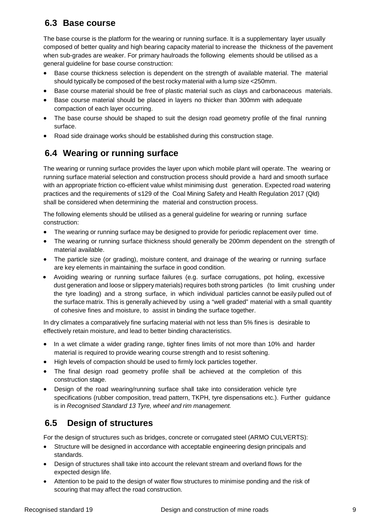### <span id="page-8-0"></span>**6.3 Base course**

The base course is the platform for the wearing or running surface. It is a supplementary layer usually composed of better quality and high bearing capacity material to increase the thickness of the pavement when sub-grades are weaker. For primary haulroads the following elements should be utilised as a general guideline for base course construction:

- Base course thickness selection is dependent on the strength of available material. The material should typically be composed of the best rocky material with a lump size <250mm.
- Base course material should be free of plastic material such as clays and carbonaceous materials.
- Base course material should be placed in layers no thicker than 300mm with adequate compaction of each layer occurring.
- The base course should be shaped to suit the design road geometry profile of the final running surface.
- <span id="page-8-1"></span>• Road side drainage works should be established during this construction stage.

## **6.4 Wearing or running surface**

The wearing or running surface provides the layer upon which mobile plant will operate. The wearing or running surface material selection and construction process should provide a hard and smooth surface with an appropriate friction co-efficient value whilst minimising dust generation. Expected road watering practices and the requirements of s129 of the Coal Mining Safety and Health Regulation 2017 (Qld) shall be considered when determining the material and construction process.

The following elements should be utilised as a general guideline for wearing or running surface construction:

- The wearing or running surface may be designed to provide for periodic replacement over time.
- The wearing or running surface thickness should generally be 200mm dependent on the strength of material available.
- The particle size (or grading), moisture content, and drainage of the wearing or running surface are key elements in maintaining the surface in good condition.
- Avoiding wearing or running surface failures (e.g. surface corrugations, pot holing, excessive dust generation and loose or slippery materials) requires both strong particles (to limit crushing under the tyre loading) and a strong surface, in which individual particles cannot be easily pulled out of the surface matrix. This is generally achieved by using a "well graded" material with a small quantity of cohesive fines and moisture, to assist in binding the surface together.

In dry climates a comparatively fine surfacing material with not less than 5% fines is desirable to effectively retain moisture, and lead to better binding characteristics.

- In a wet climate a wider grading range, tighter fines limits of not more than 10% and harder material is required to provide wearing course strength and to resist softening.
- High levels of compaction should be used to firmly lock particles together.
- The final design road geometry profile shall be achieved at the completion of this construction stage.
- Design of the road wearing/running surface shall take into consideration vehicle tyre specifications (rubber composition, tread pattern, TKPH, tyre dispensations etc.). Further guidance is in *Recognised Standard 13 Tyre, wheel and rim management.*

## <span id="page-8-2"></span>**6.5 Design of structures**

For the design of structures such as bridges, concrete or corrugated steel (ARMO CULVERTS):

- Structure will be designed in accordance with acceptable engineering design principals and standards.
- Design of structures shall take into account the relevant stream and overland flows for the expected design life.
- Attention to be paid to the design of water flow structures to minimise ponding and the risk of scouring that may affect the road construction.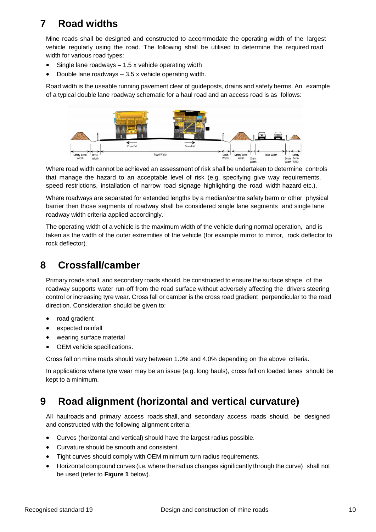## <span id="page-9-0"></span>**7 Road widths**

Mine roads shall be designed and constructed to accommodate the operating width of the largest vehicle regularly using the road. The following shall be utilised to determine the required road width for various road types:

- Single lane roadways  $-1.5$  x vehicle operating width
- Double lane roadways 3.5 x vehicle operating width.

Road width is the useable running pavement clear of guideposts, drains and safety berms. An example of a typical double lane roadway schematic for a haul road and an access road is as follows:



Where road width cannot be achieved an assessment of risk shall be undertaken to determine controls that manage the hazard to an acceptable level of risk (e.g. specifying give way requirements, speed restrictions, installation of narrow road signage highlighting the road width hazard etc.).

Where roadways are separated for extended lengths by a median/centre safety berm or other physical barrier then those segments of roadway shall be considered single lane segments and single lane roadway width criteria applied accordingly.

The operating width of a vehicle is the maximum width of the vehicle during normal operation, and is taken as the width of the outer extremities of the vehicle (for example mirror to mirror, rock deflector to rock deflector).

## <span id="page-9-1"></span>**8 Crossfall/camber**

Primary roads shall, and secondary roads should, be constructed to ensure the surface shape of the roadway supports water run-off from the road surface without adversely affecting the drivers steering control or increasing tyre wear. Cross fall or camber is the cross road gradient perpendicular to the road direction. Consideration should be given to:

- road gradient
- expected rainfall
- wearing surface material
- OEM vehicle specifications.

Cross fall on mine roads should vary between 1.0% and 4.0% depending on the above criteria.

In applications where tyre wear may be an issue (e.g. long hauls), cross fall on loaded lanes should be kept to a minimum.

## <span id="page-9-2"></span>**9 Road alignment (horizontal and vertical curvature)**

All haulroads and primary access roads shall, and secondary access roads should, be designed and constructed with the following alignment criteria:

- Curves (horizontal and vertical) should have the largest radius possible.
- Curvature should be smooth and consistent.
- Tight curves should comply with OEM minimum turn radius requirements.
- Horizontal compound curves (i.e. where the radius changes significantly through the curve) shall not be used (refer to **Figure 1** below).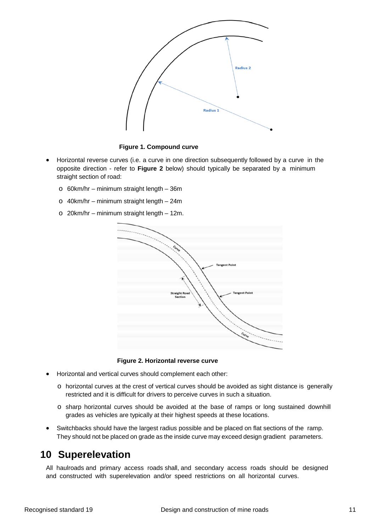

**Figure 1. Compound curve**

- Horizontal reverse curves (i.e. a curve in one direction subsequently followed by a curve in the opposite direction - refer to **Figure 2** below) should typically be separated by a minimum straight section of road:
	- o 60km/hr minimum straight length 36m
	- o 40km/hr minimum straight length 24m
	- o 20km/hr minimum straight length 12m.



**Figure 2. Horizontal reverse curve**

- Horizontal and vertical curves should complement each other:
	- o horizontal curves at the crest of vertical curves should be avoided as sight distance is generally restricted and it is difficult for drivers to perceive curves in such a situation.
	- o sharp horizontal curves should be avoided at the base of ramps or long sustained downhill grades as vehicles are typically at their highest speeds at these locations.
- Switchbacks should have the largest radius possible and be placed on flat sections of the ramp. They should not be placed on grade as the inside curve may exceed design gradient parameters.

### <span id="page-10-0"></span>**10 Superelevation**

All haulroads and primary access roads shall, and secondary access roads should be designed and constructed with superelevation and/or speed restrictions on all horizontal curves.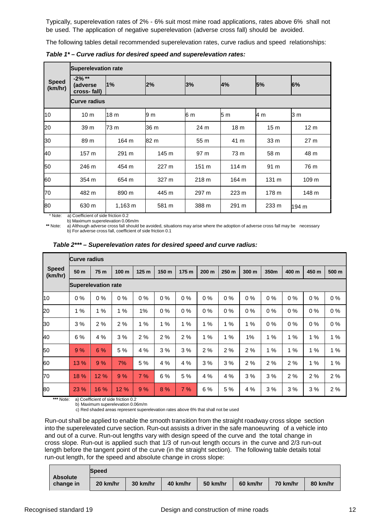Typically, superelevation rates of 2% - 6% suit most mine road applications, rates above 6% shall not be used. The application of negative superelevation (adverse cross fall) should be avoided.

The following tables detail recommended superelevation rates, curve radius and speed relationships:

|                         | <b>Superelevation rate</b>           |         |       |       |                  |                 |                 |  |
|-------------------------|--------------------------------------|---------|-------|-------|------------------|-----------------|-----------------|--|
| <b>Speed</b><br>(km/hr) | $-2\%$ **<br>(adverse<br>cross-fall) | $1\%$   | 2%    | 3%    | 4%               | 5%              | 6%              |  |
|                         | <b>Curve radius</b>                  |         |       |       |                  |                 |                 |  |
| 10                      | 10 <sub>m</sub>                      | 18 m    | 9 m   | 6 m   | 5 <sub>m</sub>   | 4 m             | 3 m             |  |
| 20                      | 39 m                                 | 73 m    | 36 m  | 24 m  | 18 <sub>m</sub>  | 15 <sub>m</sub> | 12 <sub>m</sub> |  |
| 30                      | 89 m                                 | 164 m   | 82 m  | 55 m  | 41 m             | 33 m            | 27 <sub>m</sub> |  |
| 40                      | 157 m                                | 291 m   | 145 m | 97 m  | 73 m             | 58 m            | 48 m            |  |
| 50                      | 246 m                                | 454 m   | 227 m | 151 m | 114 <sub>m</sub> | 91 m            | 76 m            |  |
| 60                      | 354 m                                | 654 m   | 327 m | 218 m | 164 m            | 131 m           | 109 m           |  |
| 70                      | 482 m                                | 890 m   | 445 m | 297 m | 223 m            | 178 m           | 148 m           |  |
| 80                      | 630 m                                | 1,163 m | 581 m | 388 m | 291 m            | 233 m           | 194 m           |  |

*Table 1\* – Curve radius for desired speed and superelevation rates:*

\* Note: a) Coefficient of side friction 0.2

b) Maximum superelevation 0.06m/m

**\*\*** Note: a) Although adverse cross fall should be avoided, situations may arise where the adoption of adverse cross fall may be necessary b) For adverse cross fall, coefficient of side friction 0.1

|                         |                            | <b>Curve radius</b> |       |                  |       |       |                  |       |       |       |       |       |       |
|-------------------------|----------------------------|---------------------|-------|------------------|-------|-------|------------------|-------|-------|-------|-------|-------|-------|
| <b>Speed</b><br>(km/hr) | 50 m                       | 75 m                | 100 m | 125 <sub>m</sub> | 150 m | 175 m | 200 <sub>m</sub> | 250 m | 300 m | 350m  | 400 m | 450 m | 500 m |
|                         | <b>Superelevation rate</b> |                     |       |                  |       |       |                  |       |       |       |       |       |       |
| 10                      | $0\%$                      | $0\%$               | $0\%$ | $0\%$            | $0\%$ | 0%    | $0\%$            | $0\%$ | $0\%$ | $0\%$ | $0\%$ | 0%    | $0\%$ |
| 20                      | 1%                         | 1%                  | 1%    | 1%               | $0\%$ | $0\%$ | $0\%$            | $0\%$ | $0\%$ | $0\%$ | $0\%$ | $0\%$ | $0\%$ |
| 30                      | 3%                         | 2%                  | 2%    | 1%               | 1%    | 1%    | 1%               | 1%    | 1%    | 0%    | 0%    | 0%    | $0\%$ |
| 40                      | 6%                         | 4 %                 | 3%    | 2%               | 2%    | 2%    | 1%               | 1%    | 1%    | 1%    | 1%    | 1%    | 1%    |
| 50                      | 9%                         | 6%                  | 5 %   | 4 %              | 3%    | 3%    | 2%               | 2%    | 2%    | 1%    | 1%    | 1%    | 1%    |
| 60                      | 13 %                       | 9%                  | 7%    | 5 %              | 4 %   | 4 %   | 3%               | 3%    | 2%    | 2%    | 2%    | 1%    | 1%    |
| 70                      | 18 %                       | 12 %                | 9%    | 7%               | 6 %   | 5 %   | 4%               | 4 %   | 3%    | 3%    | 2%    | 2%    | 2%    |
| 80                      | 23 %                       | 16 %                | 12 %  | 9%               | 8 %   | 7%    | 6%               | 5 %   | 4 %   | 3%    | 3%    | 3%    | 2%    |

*Table 2\*\*\* – Superelevation rates for desired speed and curve radius:*

**\*\*\*** Note: a) Coefficient of side friction 0.2

b) Maximum superelevation 0.06m/m

c) Red shaded areas represent superelevation rates above 6% that shall not be used

Run-out shall be applied to enable the smooth transition from the straight roadway cross slope section into the superelevated curve section. Run-out assists a driver in the safe manoeuvring of a vehicle into and out of a curve. Run-out lengths vary with design speed of the curve and the total change in cross slope. Run-out is applied such that 1/3 of run-out length occurs in the curve and 2/3 run-out length before the tangent point of the curve (in the straight section). The following table details total run-out length, for the speed and absolute change in cross slope:

| <b>Absolute</b> | <b>Speed</b> |          |          |          |          |          |          |
|-----------------|--------------|----------|----------|----------|----------|----------|----------|
| change in       | 20 km/hr     | 30 km/hr | 40 km/hr | 50 km/hr | 60 km/hr | 70 km/hr | 80 km/hr |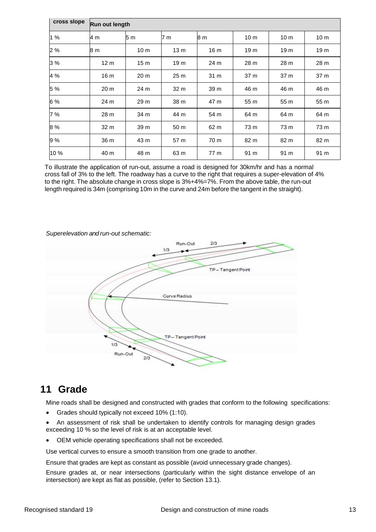| cross slope |                 | Run out length  |                 |                 |                 |                 |                 |  |
|-------------|-----------------|-----------------|-----------------|-----------------|-----------------|-----------------|-----------------|--|
| 1 %         | 4 m             | 5 m             | 7 m             | 8 <sub>m</sub>  | 10 <sub>m</sub> | 10 <sub>m</sub> | 10 <sub>m</sub> |  |
| 2 %         | 8 m             | 10 <sub>m</sub> | 13 <sub>m</sub> | 16 <sub>m</sub> | 19 m            | 19 <sub>m</sub> | 19 <sub>m</sub> |  |
| 3 %         | 12 <sub>m</sub> | 15 <sub>m</sub> | 19 <sub>m</sub> | 24 m            | 28 m            | 28 m            | 28 m            |  |
| 4 %         | 16 m            | 20 m            | 25 m            | 31 m            | 37 m            | 37 m            | 37 m            |  |
| 5 %         | 20 <sub>m</sub> | 24 m            | 32 m            | 39 m            | 46 m            | 46 m            | 46 m            |  |
| 6 %         | 24 m            | 29 m            | 38 m            | 47 m            | 55 m            | 55 m            | 55 m            |  |
| 7 %         | 28 m            | 34 m            | 44 m            | 54 m            | 64 m            | 64 m            | 64 m            |  |
| 8 %         | 32 m            | 39 m            | 50 m            | 62 m            | 73 m            | 73 m            | 73 m            |  |
| 9%          | 36 m            | 43 m            | 57 m            | 70 m            | 82 m            | 82 m            | 82 m            |  |
| 10%         | 40 m            | 48 m            | 63 m            | 77 m            | 91 m            | 91 m            | 91 m            |  |

To illustrate the application of run-out, assume a road is designed for 30km/hr and has a normal cross fall of 3% to the left. The roadway has a curve to the right that requires a super-elevation of 4% to the right. The absolute change in cross slope is 3%+4%=7%. From the above table, the run-out length required is 34m (comprising 10m in the curve and 24m before the tangent in the straight).

#### *Superelevation and run-out schematic:*



### <span id="page-12-0"></span>**11 Grade**

Mine roads shall be designed and constructed with grades that conform to the following specifications:

- Grades should typically not exceed 10% (1:10).
- An assessment of risk shall be undertaken to identify controls for managing design grades exceeding 10 % so the level of risk is at an acceptable level.
- OEM vehicle operating specifications shall not be exceeded.

Use vertical curves to ensure a smooth transition from one grade to another.

Ensure that grades are kept as constant as possible (avoid unnecessary grade changes).

Ensure grades at, or near intersections (particularly within the sight distance envelope of an intersection) are kept as flat as possible, (refer to Section 13.1).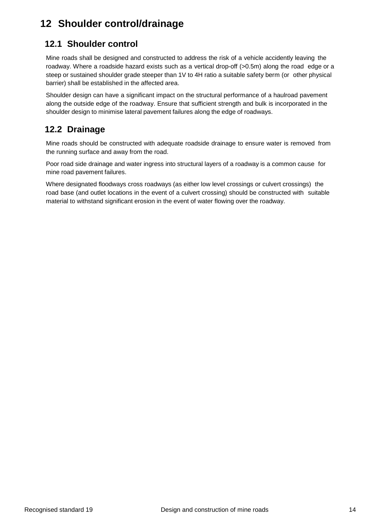## <span id="page-13-0"></span>**12 Shoulder control/drainage**

## <span id="page-13-1"></span>**12.1 Shoulder control**

Mine roads shall be designed and constructed to address the risk of a vehicle accidently leaving the roadway. Where a roadside hazard exists such as a vertical drop-off (>0.5m) along the road edge or a steep or sustained shoulder grade steeper than 1V to 4H ratio a suitable safety berm (or other physical barrier) shall be established in the affected area.

Shoulder design can have a significant impact on the structural performance of a haulroad pavement along the outside edge of the roadway. Ensure that sufficient strength and bulk is incorporated in the shoulder design to minimise lateral pavement failures along the edge of roadways.

#### <span id="page-13-2"></span>**12.2 Drainage**

Mine roads should be constructed with adequate roadside drainage to ensure water is removed from the running surface and away from the road.

Poor road side drainage and water ingress into structural layers of a roadway is a common cause for mine road pavement failures.

Where designated floodways cross roadways (as either low level crossings or culvert crossings) the road base (and outlet locations in the event of a culvert crossing) should be constructed with suitable material to withstand significant erosion in the event of water flowing over the roadway.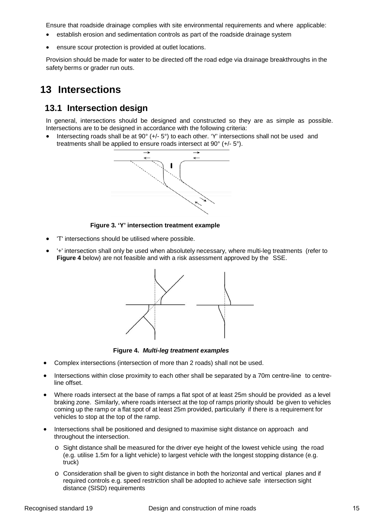Ensure that roadside drainage complies with site environmental requirements and where applicable:

- establish erosion and sedimentation controls as part of the roadside drainage system
- ensure scour protection is provided at outlet locations.

Provision should be made for water to be directed off the road edge via drainage breakthroughs in the safety berms or grader run outs.

## <span id="page-14-0"></span>**13 Intersections**

#### <span id="page-14-1"></span>**13.1 Intersection design**

In general, intersections should be designed and constructed so they are as simple as possible. Intersections are to be designed in accordance with the following criteria:

Intersecting roads shall be at  $90^{\circ}$  (+/-  $5^{\circ}$ ) to each other. 'Y' intersections shall not be used and treatments shall be applied to ensure roads intersect at 90° (+/- 5°).



**Figure 3. 'Y' intersection treatment example**

- 'T' intersections should be utilised where possible.
- '+' intersection shall only be used when absolutely necessary, where multi-leg treatments (refer to **Figure 4** below) are not feasible and with a risk assessment approved by the SSE.



**Figure 4.** *Multi-leg treatment examples*

- Complex intersections (intersection of more than 2 roads) shall not be used.
- Intersections within close proximity to each other shall be separated by a 70m centre-line to centreline offset.
- Where roads intersect at the base of ramps a flat spot of at least 25m should be provided as a level braking zone. Similarly, where roads intersect at the top of ramps priority should be given to vehicles coming up the ramp or a flat spot of at least 25m provided, particularly if there is a requirement for vehicles to stop at the top of the ramp.
- Intersections shall be positioned and designed to maximise sight distance on approach and throughout the intersection.
	- o Sight distance shall be measured for the driver eye height of the lowest vehicle using the road (e.g. utilise 1.5m for a light vehicle) to largest vehicle with the longest stopping distance (e.g. truck)
	- o Consideration shall be given to sight distance in both the horizontal and vertical planes and if required controls e.g. speed restriction shall be adopted to achieve safe intersection sight distance (SISD) requirements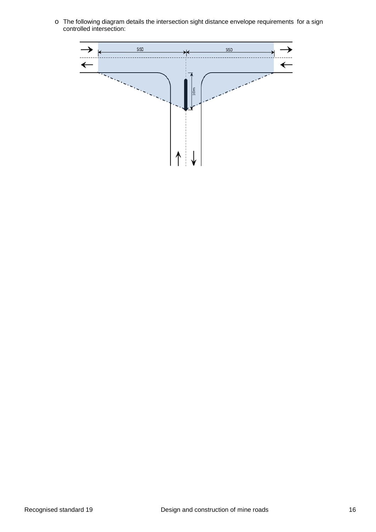o The following diagram details the intersection sight distance envelope requirements for a sign controlled intersection:

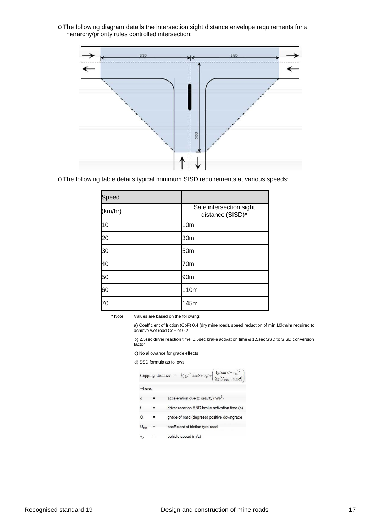o The following diagram details the intersection sight distance envelope requirements for a hierarchy/priority rules controlled intersection:



o The following table details typical minimum SISD requirements at various speeds:

| Speed   |                                             |
|---------|---------------------------------------------|
| (km/hr) | Safe intersection sight<br>distance (SISD)* |
| 10      | 10 <sub>m</sub>                             |
| 20      | 30m                                         |
| 30      | 50 <sub>m</sub>                             |
| 40      | 70m                                         |
| 50      | 90m                                         |
| 60      | 110m                                        |
| 70      | 145m                                        |

**\*** Note: Values are based on the following:

a) Coefficient of friction (CoF) 0.4 (dry mine road), speed reduction of min 10km/hr required to achieve wet road CoF of 0.2

b) 2.5sec driver reaction time, 0.5sec brake activation time & 1.5sec SSD to SISD conversion factor

c) No allowance for grade effects

d) SSD formula as follows:

|                  | Stopping distance = $\frac{1}{2}gt^2 \sin \theta + v_o t + \left(\frac{(gt \sin \theta + v_o)^2}{2g(U_{\min} - \sin \theta)}\right)$ |
|------------------|--------------------------------------------------------------------------------------------------------------------------------------|
| where:           |                                                                                                                                      |
| g                | acceleration due to gravity $(m/s^2)$                                                                                                |
|                  | driver reaction AND brake activation time (s)                                                                                        |
| Θ                | grade of road (degrees) positive downgrade                                                                                           |
| $U_{\text{min}}$ | coefficient of friction tyre-road                                                                                                    |
|                  |                                                                                                                                      |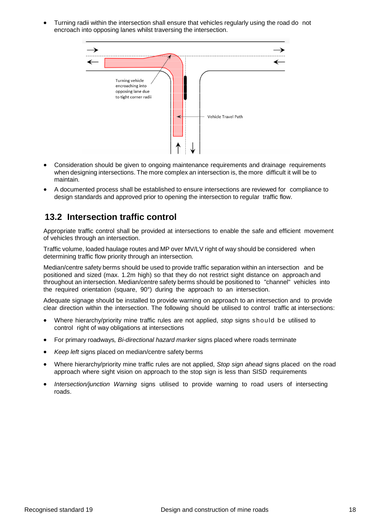• Turning radii within the intersection shall ensure that vehicles regularly using the road do not encroach into opposing lanes whilst traversing the intersection.



- Consideration should be given to ongoing maintenance requirements and drainage requirements when designing intersections. The more complex an intersection is, the more difficult it will be to maintain.
- <span id="page-17-0"></span>• A documented process shall be established to ensure intersections are reviewed for compliance to design standards and approved prior to opening the intersection to regular traffic flow.

#### **13.2 Intersection traffic control**

Appropriate traffic control shall be provided at intersections to enable the safe and efficient movement of vehicles through an intersection.

Traffic volume, loaded haulage routes and MP over MV/LV right of way should be considered when determining traffic flow priority through an intersection.

Median/centre safety berms should be used to provide traffic separation within an intersection and be positioned and sized (max. 1.2m high) so that they do not restrict sight distance on approach and throughout an intersection. Median/centre safety berms should be positioned to "channel" vehicles into the required orientation (square, 90°) during the approach to an intersection.

Adequate signage should be installed to provide warning on approach to an intersection and to provide clear direction within the intersection. The following should be utilised to control traffic at intersections:

- Where hierarchy/priority mine traffic rules are not applied, *stop* signs should be utilised to control right of way obligations at intersections
- For primary roadways*, Bi-directional hazard marker* signs placed where roads terminate
- *Keep left* signs placed on median/centre safety berms
- Where hierarchy/priority mine traffic rules are not applied, *Stop sign ahead* signs placed on the road approach where sight vision on approach to the stop sign is less than SISD requirements
- *Intersection/junction Warning* signs utilised to provide warning to road users of intersecting roads.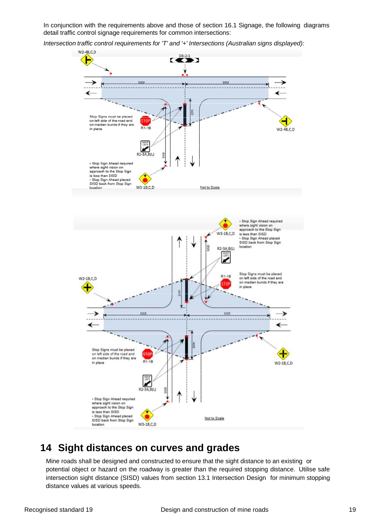In conjunction with the requirements above and those of section 16.1 Signage, the following diagrams detail traffic control signage requirements for common intersections:

*Intersection traffic control requirements for 'T' and '+' Intersections (Australian signs displayed):*



### <span id="page-18-0"></span>**14 Sight distances on curves and grades**

Mine roads shall be designed and constructed to ensure that the sight distance to an existing or potential object or hazard on the roadway is greater than the required stopping distance. Utilise safe intersection sight distance (SISD) values from section 13.1 Intersection Design for minimum stopping distance values at various speeds.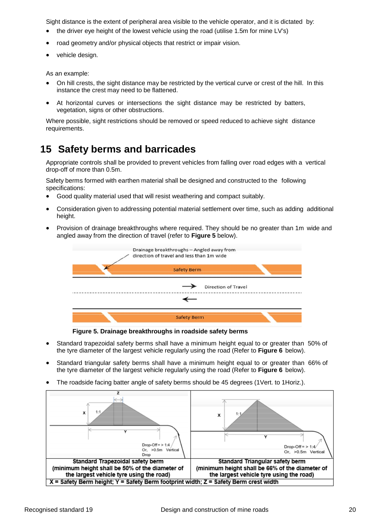Sight distance is the extent of peripheral area visible to the vehicle operator, and it is dictated by:

- the driver eye height of the lowest vehicle using the road (utilise 1.5m for mine LV's)
- road geometry and/or physical objects that restrict or impair vision.
- vehicle design.

As an example:

- On hill crests, the sight distance may be restricted by the vertical curve or crest of the hill. In this instance the crest may need to be flattened.
- At horizontal curves or intersections the sight distance may be restricted by batters, vegetation, signs or other obstructions.

Where possible, sight restrictions should be removed or speed reduced to achieve sight distance requirements.

## <span id="page-19-0"></span>**15 Safety berms and barricades**

Appropriate controls shall be provided to prevent vehicles from falling over road edges with a vertical drop-off of more than 0.5m.

Safety berms formed with earthen material shall be designed and constructed to the following specifications:

- Good quality material used that will resist weathering and compact suitably.
- Consideration given to addressing potential material settlement over time, such as adding additional height.
- Provision of drainage breakthroughs where required. They should be no greater than 1m wide and angled away from the direction of travel (refer to **Figure 5** below).



**Figure 5. Drainage breakthroughs in roadside safety berms**

- Standard trapezoidal safety berms shall have a minimum height equal to or greater than 50% of the tyre diameter of the largest vehicle regularly using the road (Refer to **Figure 6** below).
- Standard triangular safety berms shall have a minimum height equal to or greater than 66% of the tyre diameter of the largest vehicle regularly using the road (Refer to **Figure 6** below).
- The roadside facing batter angle of safety berms should be 45 degrees (1Vert. to 1Horiz.).

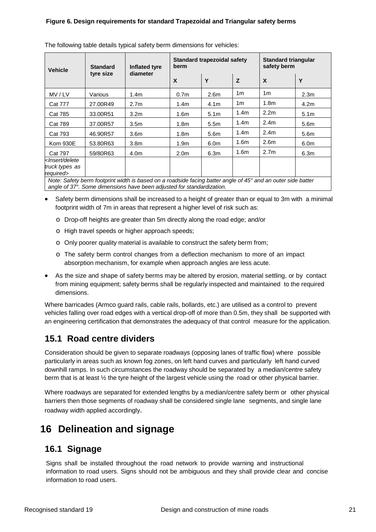| <b>Vehicle</b>                                                                                                                                                                                                                                                                                                                                                                                                                                                      | <b>Standard</b> | <b>Inflated tyre</b> | berm                      | Standard trapezoidal safety | <b>Standard triangular</b><br>safety berm |                  |                  |
|---------------------------------------------------------------------------------------------------------------------------------------------------------------------------------------------------------------------------------------------------------------------------------------------------------------------------------------------------------------------------------------------------------------------------------------------------------------------|-----------------|----------------------|---------------------------|-----------------------------|-------------------------------------------|------------------|------------------|
|                                                                                                                                                                                                                                                                                                                                                                                                                                                                     | tyre size       | diameter             | $\boldsymbol{\mathsf{X}}$ | Y                           | Z                                         | X                | Y                |
| MV / LV                                                                                                                                                                                                                                                                                                                                                                                                                                                             | Various         | 1.4 <sub>m</sub>     | 0.7 <sub>m</sub>          | 2.6 <sub>m</sub>            | 1 <sub>m</sub>                            | 1 <sub>m</sub>   | 2.3 <sub>m</sub> |
| <b>Cat 777</b>                                                                                                                                                                                                                                                                                                                                                                                                                                                      | 27,00R49        | 2.7 <sub>m</sub>     | 1.4m                      | 4.1m                        | 1m                                        | 1.8 <sub>m</sub> | 4.2 <sub>m</sub> |
| <b>Cat 785</b>                                                                                                                                                                                                                                                                                                                                                                                                                                                      | 33,00R51        | 3.2 <sub>m</sub>     | 1.6m                      | 5.1 <sub>m</sub>            | 1.4 <sub>m</sub>                          | 2.2 <sub>m</sub> | 5.1 <sub>m</sub> |
| <b>Cat 789</b>                                                                                                                                                                                                                                                                                                                                                                                                                                                      | 37.00R57        | 3.5 <sub>m</sub>     | 1.8m                      | 5.5 <sub>m</sub>            | 1.4 <sub>m</sub>                          | 2.4 <sub>m</sub> | 5.6 <sub>m</sub> |
| <b>Cat 793</b>                                                                                                                                                                                                                                                                                                                                                                                                                                                      | 46.90R57        | 3.6 <sub>m</sub>     | 1.8 <sub>m</sub>          | 5.6 <sub>m</sub>            | 1.4 <sub>m</sub>                          | 2.4 <sub>m</sub> | 5.6 <sub>m</sub> |
| <b>Kom 930E</b>                                                                                                                                                                                                                                                                                                                                                                                                                                                     | 53.80R63        | 3.8 <sub>m</sub>     | 1.9m                      | 6.0 <sub>m</sub>            | 1.6 <sub>m</sub>                          | 2.6 <sub>m</sub> | 6.0 <sub>m</sub> |
| <b>Cat 797</b>                                                                                                                                                                                                                                                                                                                                                                                                                                                      | 59/80R63        | 4.0m                 | 2.0 <sub>m</sub>          | 6.3m                        | 1.6 <sub>m</sub>                          | 2.7 <sub>m</sub> | 6.3m             |
| <lnsert delete<br="">truck types as<br/>required&gt;</lnsert>                                                                                                                                                                                                                                                                                                                                                                                                       |                 |                      |                           |                             |                                           |                  |                  |
| Note: Safety berm footprint width is based on a roadside facing batter angle of 45° and an outer side batter<br>$\overline{a}$ , $\overline{a}$ , $\overline{a}$ , $\overline{a}$ , $\overline{a}$ , $\overline{a}$ , $\overline{a}$ , $\overline{a}$ , $\overline{a}$ , $\overline{a}$ , $\overline{a}$ , $\overline{a}$ , $\overline{a}$ , $\overline{a}$ , $\overline{a}$ , $\overline{a}$ , $\overline{a}$ , $\overline{a}$ , $\overline{a}$ , $\overline{a}$ , |                 |                      |                           |                             |                                           |                  |                  |

The following table details typical safety berm dimensions for vehicles:

*angle of 37°. Some dimensions have been adjusted for standardization.*

- Safety berm dimensions shall be increased to a height of greater than or equal to 3m with a minimal footprint width of 7m in areas that represent a higher level of risk such as:
	- o Drop-off heights are greater than 5m directly along the road edge; and/or
	- o High travel speeds or higher approach speeds;
	- o Only poorer quality material is available to construct the safety berm from;
	- o The safety berm control changes from a deflection mechanism to more of an impact absorption mechanism, for example when approach angles are less acute.
- As the size and shape of safety berms may be altered by erosion, material settling, or by contact from mining equipment; safety berms shall be regularly inspected and maintained to the required dimensions.

Where barricades (Armco guard rails, cable rails, bollards, etc.) are utilised as a control to prevent vehicles falling over road edges with a vertical drop-off of more than 0.5m, they shall be supported with an engineering certification that demonstrates the adequacy of that control measure for the application.

#### <span id="page-20-0"></span>**15.1 Road centre dividers**

Consideration should be given to separate roadways (opposing lanes of traffic flow) where possible particularly in areas such as known fog zones, on left hand curves and particularly left hand curved downhill ramps. In such circumstances the roadway should be separated by a median/centre safety berm that is at least ½ the tyre height of the largest vehicle using the road or other physical barrier.

Where roadways are separated for extended lengths by a median/centre safety berm or other physical barriers then those segments of roadway shall be considered single lane segments, and single lane roadway width applied accordingly.

## <span id="page-20-1"></span>**16 Delineation and signage**

#### <span id="page-20-2"></span>**16.1 Signage**

Signs shall be installed throughout the road network to provide warning and instructional information to road users. Signs should not be ambiguous and they shall provide clear and concise information to road users.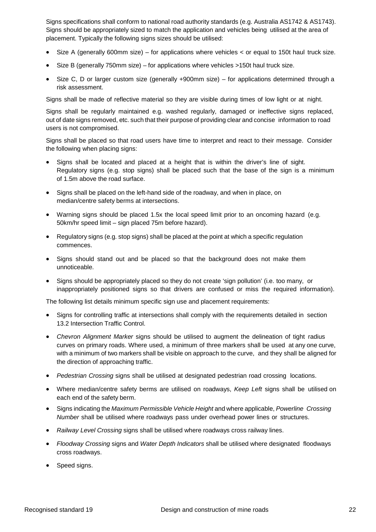Signs specifications shall conform to national road authority standards (e.g. Australia AS1742 & AS1743). Signs should be appropriately sized to match the application and vehicles being utilised at the area of placement. Typically the following signs sizes should be utilised:

- Size A (generally 600mm size) for applications where vehicles  $\lt$  or equal to 150t haul truck size.
- Size B (generally 750mm size) for applications where vehicles >150t haul truck size.
- Size C, D or larger custom size (generally +900mm size) for applications determined through a risk assessment.

Signs shall be made of reflective material so they are visible during times of low light or at night.

Signs shall be regularly maintained e.g. washed regularly, damaged or ineffective signs replaced, out of date signs removed, etc. such that their purpose of providing clear and concise information to road users is not compromised.

Signs shall be placed so that road users have time to interpret and react to their message. Consider the following when placing signs:

- Signs shall be located and placed at a height that is within the driver's line of sight. Regulatory signs (e.g. stop signs) shall be placed such that the base of the sign is a minimum of 1.5m above the road surface.
- Signs shall be placed on the left-hand side of the roadway, and when in place, on median/centre safety berms at intersections.
- Warning signs should be placed 1.5x the local speed limit prior to an oncoming hazard (e.g. 50km/hr speed limit – sign placed 75m before hazard).
- Regulatory signs (e.g. stop signs) shall be placed at the point at which a specific regulation commences.
- Signs should stand out and be placed so that the background does not make them unnoticeable.
- Signs should be appropriately placed so they do not create 'sign pollution' (i.e. too many, or inappropriately positioned signs so that drivers are confused or miss the required information).

The following list details minimum specific sign use and placement requirements:

- Signs for controlling traffic at intersections shall comply with the requirements detailed in section 13.2 Intersection Traffic Control.
- *Chevron Alignment Marker* signs should be utilised to augment the delineation of tight radius curves on primary roads. Where used, a minimum of three markers shall be used at any one curve, with a minimum of two markers shall be visible on approach to the curve, and they shall be aligned for the direction of approaching traffic.
- *Pedestrian Crossing* signs shall be utilised at designated pedestrian road crossing locations.
- Where median/centre safety berms are utilised on roadways, *Keep Left* signs shall be utilised on each end of the safety berm.
- Signs indicating the *Maximum Permissible Vehicle Height* and where applicable, *Powerline Crossing Number* shall be utilised where roadways pass under overhead power lines or structures.
- *Railway Level Crossing* signs shall be utilised where roadways cross railway lines.
- *Floodway Crossing* signs and *Water Depth Indicators* shall be utilised where designated floodways cross roadways.
- Speed signs.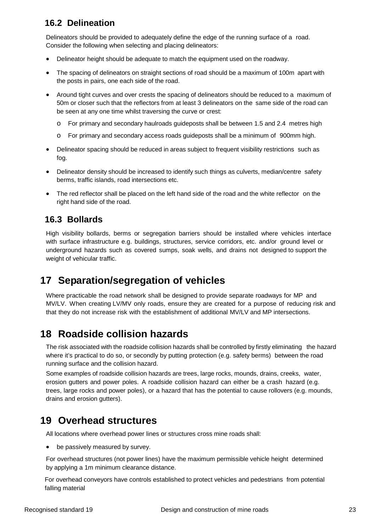### <span id="page-22-0"></span>**16.2 Delineation**

Delineators should be provided to adequately define the edge of the running surface of a road. Consider the following when selecting and placing delineators:

- Delineator height should be adequate to match the equipment used on the roadway.
- The spacing of delineators on straight sections of road should be a maximum of 100m apart with the posts in pairs, one each side of the road.
- Around tight curves and over crests the spacing of delineators should be reduced to a maximum of 50m or closer such that the reflectors from at least 3 delineators on the same side of the road can be seen at any one time whilst traversing the curve or crest:
	- o For primary and secondary haulroads guideposts shall be between 1.5 and 2.4 metres high
	- o For primary and secondary access roads guideposts shall be a minimum of 900mm high.
- Delineator spacing should be reduced in areas subject to frequent visibility restrictions such as fog.
- Delineator density should be increased to identify such things as culverts, median/centre safety berms, traffic islands, road intersections etc.
- The red reflector shall be placed on the left hand side of the road and the white reflector on the right hand side of the road.

#### <span id="page-22-1"></span>**16.3 Bollards**

High visibility bollards, berms or segregation barriers should be installed where vehicles interface with surface infrastructure e.g. buildings, structures, service corridors, etc. and/or ground level or underground hazards such as covered sumps, soak wells, and drains not designed to support the weight of vehicular traffic.

## <span id="page-22-2"></span>**17 Separation/segregation of vehicles**

Where practicable the road network shall be designed to provide separate roadways for MP and MV/LV. When creating LV/MV only roads, ensure they are created for a purpose of reducing risk and that they do not increase risk with the establishment of additional MV/LV and MP intersections.

## <span id="page-22-3"></span>**18 Roadside collision hazards**

The risk associated with the roadside collision hazards shall be controlled by firstly eliminating the hazard where it's practical to do so, or secondly by putting protection (e.g. safety berms) between the road running surface and the collision hazard.

Some examples of roadside collision hazards are trees, large rocks, mounds, drains, creeks, water, erosion gutters and power poles. A roadside collision hazard can either be a crash hazard (e.g. trees, large rocks and power poles), or a hazard that has the potential to cause rollovers (e.g. mounds, drains and erosion gutters).

## <span id="page-22-4"></span>**19 Overhead structures**

All locations where overhead power lines or structures cross mine roads shall:

• be passively measured by survey.

For overhead structures (not power lines) have the maximum permissible vehicle height determined by applying a 1m minimum clearance distance.

For overhead conveyors have controls established to protect vehicles and pedestrians from potential falling material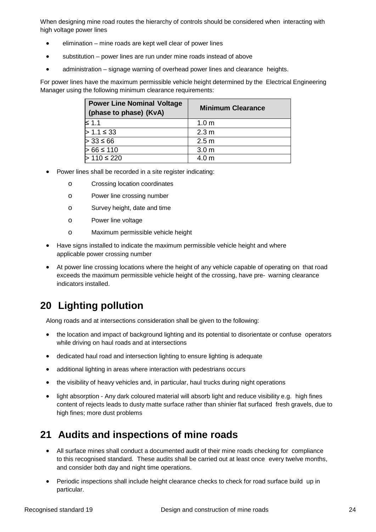When designing mine road routes the hierarchy of controls should be considered when interacting with high voltage power lines

- elimination mine roads are kept well clear of power lines
- substitution power lines are run under mine roads instead of above
- administration signage warning of overhead power lines and clearance heights.

For power lines have the maximum permissible vehicle height determined by the Electrical Engineering Manager using the following minimum clearance requirements:

| <b>Power Line Nominal Voltage</b><br>(phase to phase) (KvA) | <b>Minimum Clearance</b> |
|-------------------------------------------------------------|--------------------------|
| $\leq 1.1$                                                  | 1.0 <sub>m</sub>         |
| $> 1.1 \leq 33$                                             | 2.3 <sub>m</sub>         |
| $> 33 \le 66$                                               | 2.5 <sub>m</sub>         |
| $> 66 \le 110$                                              | 3.0 <sub>m</sub>         |
| $> 110 \le 220$                                             | 4.0 <sub>m</sub>         |

- Power lines shall be recorded in a site register indicating:
	- o Crossing location coordinates
	- o Power line crossing number
	- o Survey height, date and time
	- o Power line voltage
	- o Maximum permissible vehicle height
- Have signs installed to indicate the maximum permissible vehicle height and where applicable power crossing number
- At power line crossing locations where the height of any vehicle capable of operating on that road exceeds the maximum permissible vehicle height of the crossing, have pre- warning clearance indicators installed.

## <span id="page-23-0"></span>**20 Lighting pollution**

Along roads and at intersections consideration shall be given to the following:

- the location and impact of background lighting and its potential to disorientate or confuse operators while driving on haul roads and at intersections
- dedicated haul road and intersection lighting to ensure lighting is adequate
- additional lighting in areas where interaction with pedestrians occurs
- the visibility of heavy vehicles and, in particular, haul trucks during night operations
- light absorption Any dark coloured material will absorb light and reduce visibility e.g. high fines content of rejects leads to dusty matte surface rather than shinier flat surfaced fresh gravels, due to high fines; more dust problems

## <span id="page-23-1"></span>**21 Audits and inspections of mine roads**

- All surface mines shall conduct a documented audit of their mine roads checking for compliance to this recognised standard. These audits shall be carried out at least once every twelve months, and consider both day and night time operations.
- Periodic inspections shall include height clearance checks to check for road surface build up in particular.